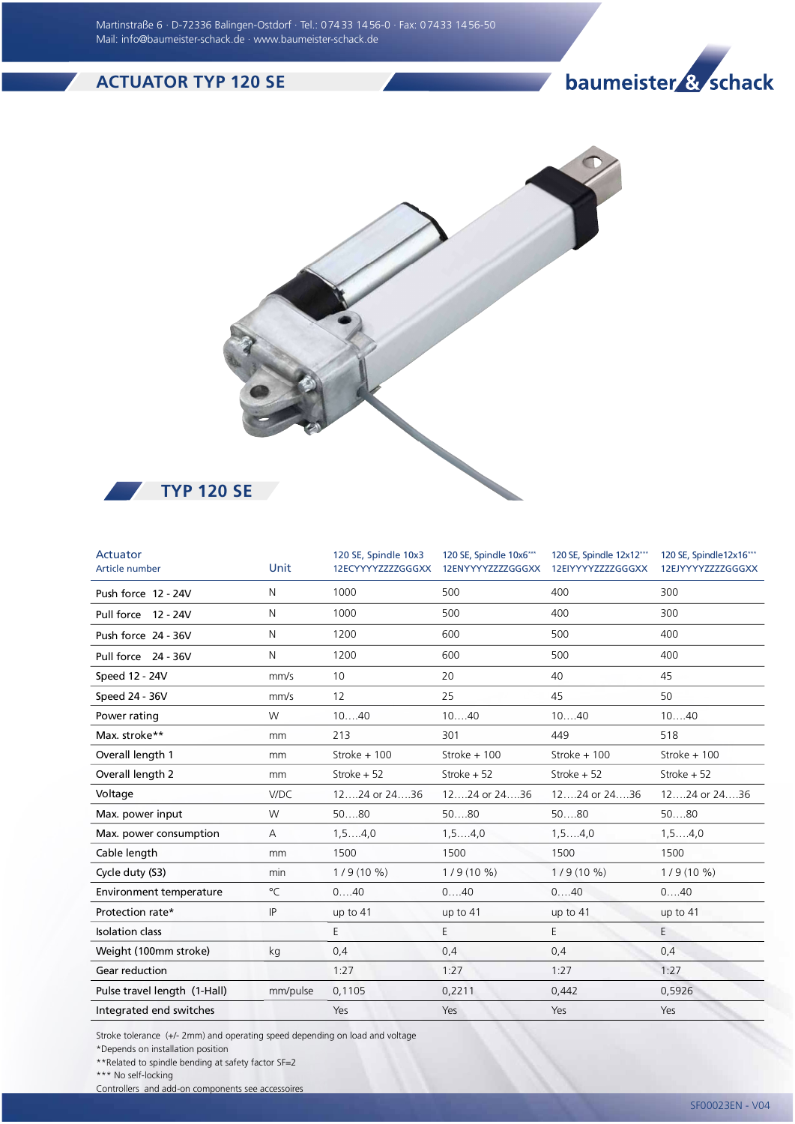## ACTUATOR TYP 120 SE

## baumeister & schack



 $TYP 120 SE$ 

| Actuator<br>Article number   | Unit          | 120 SE, Spindle 10x3<br>12ECYYYYZZZZGGGXX | 120 SE, Spindle 10x6***<br>12ENYYYYZZZZGGGXX | 120 SE, Spindle 12x12***<br>12EIYYYYZZZZGGGXX | 120 SE, Spindle12x16***<br>12EJYYYYZZZZGGGXX |
|------------------------------|---------------|-------------------------------------------|----------------------------------------------|-----------------------------------------------|----------------------------------------------|
| Push force 12 - 24V          | N             | 1000                                      | 500                                          | 400                                           | 300                                          |
| Pull force 12 - 24V          | N             | 1000                                      | 500                                          | 400                                           | 300                                          |
| Push force 24 - 36V          | N             | 1200                                      | 600                                          | 500                                           | 400                                          |
| Pull force 24 - 36V          | N             | 1200                                      | 600                                          | 500                                           | 400                                          |
| Speed 12 - 24V               | mm/s          | 10                                        | 20                                           | 40                                            | 45                                           |
| Speed 24 - 36V               | mm/s          | 12                                        | 25                                           | 45                                            | 50                                           |
| Power rating                 | W             | 1040                                      | 1040                                         | 1040                                          | 1040                                         |
| Max. stroke**                | mm            | 213                                       | 301                                          | 449                                           | 518                                          |
| Overall length 1             | mm            | Stroke + 100                              | Stroke $+100$                                | Stroke + 100                                  | Stroke $+100$                                |
| Overall length 2             | <sub>mm</sub> | Stroke + 52                               | Stroke $+52$                                 | Stroke + 52                                   | Stroke $+52$                                 |
| Voltage                      | V/DC          | 1224 or 2436                              | 12, 24 or 24, 36                             | 12, 24 or 24, 36                              | 1224 or 2436                                 |
| Max. power input             | W             | 5080                                      | 5080                                         | 5080                                          | 5080                                         |
| Max. power consumption       | A             | $1, 5, \ldots, 4, 0$                      | 1, 54, 0                                     | $1, 5, \ldots, 4, 0$                          | 1, 54, 0                                     |
| Cable length                 | mm            | 1500                                      | 1500                                         | 1500                                          | 1500                                         |
| Cycle duty (S3)              | min           | $1/9(10\%)$                               | $1/9(10\%)$                                  | $1/9(10\%)$                                   | $1/9(10\%)$                                  |
| Environment temperature      | $^{\circ}$ C  | 040                                       | 040                                          | 040                                           | 040                                          |
| Protection rate*             | IP            | up to $41$                                | up to 41                                     | up to $41$                                    | up to $41$                                   |
| <b>Isolation class</b>       |               | E                                         | E                                            | E                                             | E                                            |
| Weight (100mm stroke)        | kg            | 0,4                                       | 0,4                                          | 0,4                                           | 0,4                                          |
| Gear reduction               |               | 1:27                                      | 1:27                                         | 1:27                                          | 1:27                                         |
| Pulse travel length (1-Hall) | mm/pulse      | 0,1105                                    | 0,2211                                       | 0,442                                         | 0,5926                                       |
| Integrated end switches      |               | Yes                                       | Yes                                          | Yes                                           | Yes                                          |

Stroke tolerance (+/- 2mm) and operating speed depending on load and voltage

\*Depends on installation position

\*\*Related to spindle bending at safety factor SF=2

\*\*\* No self-locking

Controllers and add-on components see accessoires